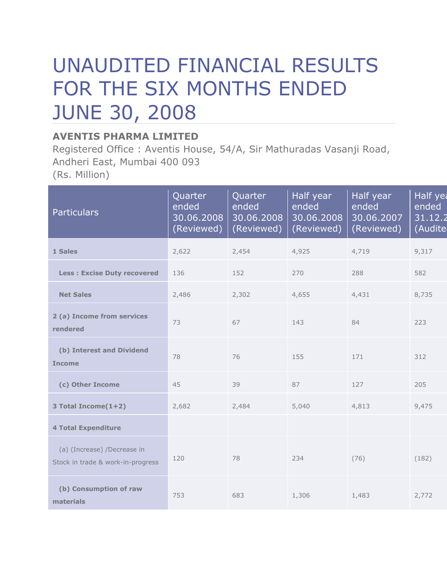## UNAUDITED FINANCIAL RESULTS FOR THE SIX MONTHS ENDED JUNE 30, 2008

## **AVENTIS PHARMA LIMITED**

Registered Office : Aventis House, 54/A, Sir Mathuradas Vasanji Road, Andheri East, Mumbai 400 093 (Rs. Million)

| <b>Particulars</b>                                               | Quarter<br>ended<br>30.06.2008<br>(Reviewed) | Quarter<br>ended<br>30.06.2008<br>(Reviewed) | Half year<br>ended<br>30.06.2008<br>(Reviewed) | Half year<br>ended<br>30.06.2007<br>(Reviewed) | Half yea<br>ended<br>31.12.2<br>(Audite |
|------------------------------------------------------------------|----------------------------------------------|----------------------------------------------|------------------------------------------------|------------------------------------------------|-----------------------------------------|
| 1 Sales                                                          | 2,622                                        | 2,454                                        | 4,925                                          | 4,719                                          | 9,317                                   |
| <b>Less: Excise Duty recovered</b>                               | 136                                          | 152                                          | 270                                            | 288                                            | 582                                     |
| <b>Net Sales</b>                                                 | 2,486                                        | 2,302                                        | 4,655                                          | 4,431                                          | 8,735                                   |
| 2 (a) Income from services<br>rendered                           | 73                                           | 67                                           | 143                                            | 84                                             | 223                                     |
| (b) Interest and Dividend<br><b>Income</b>                       | 78                                           | 76                                           | 155                                            | 171                                            | 312                                     |
| (c) Other Income                                                 | 45                                           | 39                                           | 87                                             | 127                                            | 205                                     |
| 3 Total Income(1+2)                                              | 2,682                                        | 2,484                                        | 5,040                                          | 4,813                                          | 9,475                                   |
| <b>4 Total Expenditure</b>                                       |                                              |                                              |                                                |                                                |                                         |
| (a) (Increase) /Decrease in<br>Stock in trade & work-in-progress | 120                                          | 78                                           | 234                                            | (76)                                           | (182)                                   |
| (b) Consumption of raw<br>materials                              | 753                                          | 683                                          | 1,306                                          | 1,483                                          | 2,772                                   |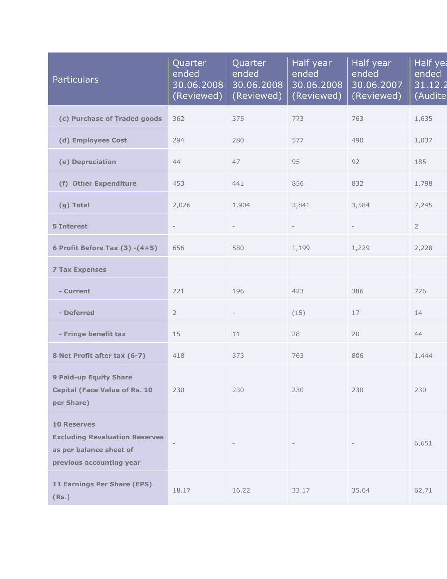| <b>Particulars</b>                                                                                                 | Quarter<br>ended<br>30.06.2008<br>(Reviewed) | Quarter<br>ended<br>30.06.2008<br>(Reviewed) | Half year<br>ended<br>30.06.2008<br>(Reviewed) | Half year<br>ended<br>30.06.2007<br>(Reviewed) | Half yea<br>ended<br>31.12.2<br>(Audite |
|--------------------------------------------------------------------------------------------------------------------|----------------------------------------------|----------------------------------------------|------------------------------------------------|------------------------------------------------|-----------------------------------------|
| (c) Purchase of Traded goods                                                                                       | 362                                          | 375                                          | 773                                            | 763                                            | 1,635                                   |
| (d) Employees Cost                                                                                                 | 294                                          | 280                                          | 577                                            | 490                                            | 1,037                                   |
| (e) Depreciation                                                                                                   | 44                                           | 47                                           | 95                                             | 92                                             | 185                                     |
| (f) Other Expenditure                                                                                              | 453                                          | 441                                          | 856                                            | 832                                            | 1,798                                   |
| (g) Total                                                                                                          | 2,026                                        | 1,904                                        | 3,841                                          | 3,584                                          | 7,245                                   |
| <b>5 Interest</b>                                                                                                  | ÷,                                           |                                              |                                                |                                                | $\overline{2}$                          |
| 6 Profit Before Tax $(3)$ - $(4+5)$                                                                                | 656                                          | 580                                          | 1,199                                          | 1,229                                          | 2,228                                   |
| <b>7 Tax Expenses</b>                                                                                              |                                              |                                              |                                                |                                                |                                         |
| - Current                                                                                                          | 221                                          | 196                                          | 423                                            | 386                                            | 726                                     |
| - Deferred                                                                                                         | $\overline{2}$                               | $\overline{\phantom{a}}$                     | (15)                                           | 17                                             | 14                                      |
| - Fringe benefit tax                                                                                               | 15                                           | 11                                           | 28                                             | 20                                             | 44                                      |
| 8 Net Profit after tax (6-7)                                                                                       | 418                                          | 373                                          | 763                                            | 806                                            | 1,444                                   |
| <b>9 Paid-up Equity Share</b><br><b>Capital (Face Value of Rs. 10</b><br>per Share)                                | 230                                          | 230                                          | 230                                            | 230                                            | 230                                     |
| <b>10 Reserves</b><br><b>Excluding Revaluation Reserves</b><br>as per balance sheet of<br>previous accounting year |                                              |                                              |                                                |                                                | 6,651                                   |
| 11 Earnings Per Share (EPS)<br>(Rs.)                                                                               | 18.17                                        | 16.22                                        | 33.17                                          | 35.04                                          | 62.71                                   |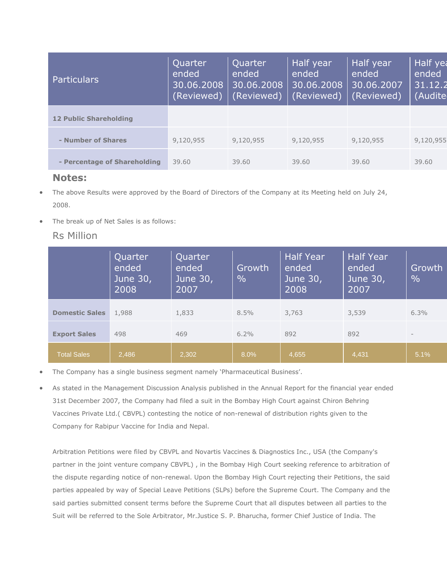| <b>Particulars</b>            | Quarter<br>ended<br>30.06.2008<br>(Reviewed) | Quarter<br>ended<br>30.06.2008<br>(Reviewed) | Half year<br>ended<br>30.06.2008<br>(Reviewed) | Half year<br>ended<br>30.06.2007<br>(Reviewed) | Half yea<br>ended<br>31.12.2<br>(Audite |
|-------------------------------|----------------------------------------------|----------------------------------------------|------------------------------------------------|------------------------------------------------|-----------------------------------------|
| <b>12 Public Shareholding</b> |                                              |                                              |                                                |                                                |                                         |
| - Number of Shares            | 9,120,955                                    | 9,120,955                                    | 9,120,955                                      | 9,120,955                                      | 9,120,955                               |
| - Percentage of Shareholding  | 39.60                                        | 39.60                                        | 39.60                                          | 39.60                                          | 39.60                                   |
|                               |                                              |                                              |                                                |                                                |                                         |

## **Notes:**

- The above Results were approved by the Board of Directors of the Company at its Meeting held on July 24, 2008.
- The break up of Net Sales is as follows:

## Rs Million

|                       | Quarter<br>ended<br>June 30,<br>2008 | Quarter<br>ended<br>June 30,<br>2007 | Growth<br>$\frac{0}{0}$ | <b>Half Year</b><br>ended <sup>'</sup><br>June 30,<br>2008 | <b>Half Year</b><br>ended<br>June 30,<br>2007 | Growth<br>$\frac{0}{0}$ |
|-----------------------|--------------------------------------|--------------------------------------|-------------------------|------------------------------------------------------------|-----------------------------------------------|-------------------------|
| <b>Domestic Sales</b> | 1,988                                | 1,833                                | 8.5%                    | 3,763                                                      | 3,539                                         | 6.3%                    |
| <b>Export Sales</b>   | 498                                  | 469                                  | $6.2\%$                 | 892                                                        | 892                                           | $\qquad \qquad -$       |
| <b>Total Sales</b>    | 2,486                                | 2.302                                | 8.0%                    | 4,655                                                      | 4,431                                         | 5.1%                    |

- The Company has a single business segment namely 'Pharmaceutical Business'.
- As stated in the Management Discussion Analysis published in the Annual Report for the financial year ended 31st December 2007, the Company had filed a suit in the Bombay High Court against Chiron Behring Vaccines Private Ltd.( CBVPL) contesting the notice of non-renewal of distribution rights given to the Company for Rabipur Vaccine for India and Nepal.

Arbitration Petitions were filed by CBVPL and Novartis Vaccines & Diagnostics Inc., USA (the Company's partner in the joint venture company CBVPL) , in the Bombay High Court seeking reference to arbitration of the dispute regarding notice of non-renewal. Upon the Bombay High Court rejecting their Petitions, the said parties appealed by way of Special Leave Petitions (SLPs) before the Supreme Court. The Company and the said parties submitted consent terms before the Supreme Court that all disputes between all parties to the Suit will be referred to the Sole Arbitrator, Mr.Justice S. P. Bharucha, former Chief Justice of India. The